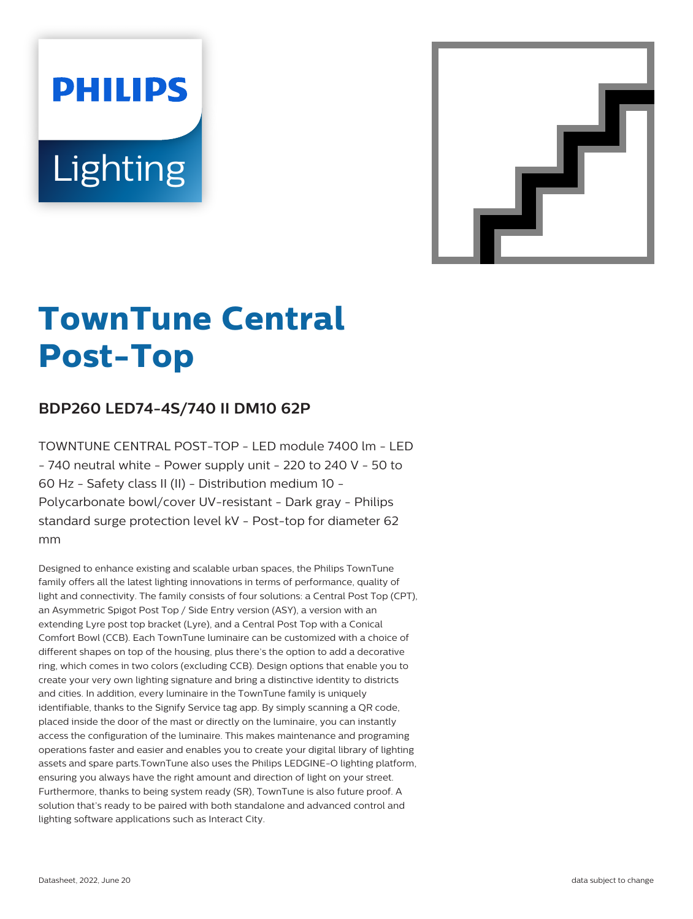# **PHILIPS Lighting**



# **TownTune Central Post-Top**

# **BDP260 LED74-4S/740 II DM10 62P**

TOWNTUNE CENTRAL POST-TOP - LED module 7400 lm - LED - 740 neutral white - Power supply unit - 220 to 240 V - 50 to 60 Hz - Safety class II (II) - Distribution medium 10 - Polycarbonate bowl/cover UV-resistant - Dark gray - Philips standard surge protection level kV - Post-top for diameter 62 mm

Designed to enhance existing and scalable urban spaces, the Philips TownTune family offers all the latest lighting innovations in terms of performance, quality of light and connectivity. The family consists of four solutions: a Central Post Top (CPT), an Asymmetric Spigot Post Top / Side Entry version (ASY), a version with an extending Lyre post top bracket (Lyre), and a Central Post Top with a Conical Comfort Bowl (CCB). Each TownTune luminaire can be customized with a choice of different shapes on top of the housing, plus there's the option to add a decorative ring, which comes in two colors (excluding CCB). Design options that enable you to create your very own lighting signature and bring a distinctive identity to districts and cities. In addition, every luminaire in the TownTune family is uniquely identifiable, thanks to the Signify Service tag app. By simply scanning a QR code, placed inside the door of the mast or directly on the luminaire, you can instantly access the configuration of the luminaire. This makes maintenance and programing operations faster and easier and enables you to create your digital library of lighting assets and spare parts.TownTune also uses the Philips LEDGINE-O lighting platform, ensuring you always have the right amount and direction of light on your street. Furthermore, thanks to being system ready (SR), TownTune is also future proof. A solution that's ready to be paired with both standalone and advanced control and lighting software applications such as Interact City.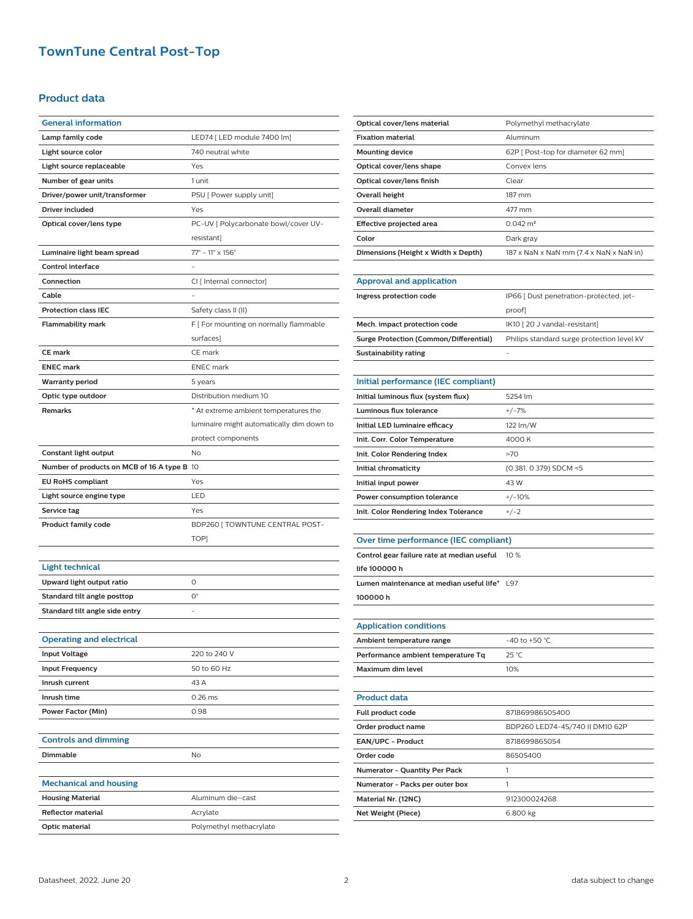### **TownTune Central Post-Top**

#### **Product data**

| <b>General information</b>                  |                                           |
|---------------------------------------------|-------------------------------------------|
| Lamp family code                            | LED74 [ LED module 7400 lm]               |
| Light source color                          | 740 neutral white                         |
| Light source replaceable                    | Yes                                       |
| Number of gear units                        | 1 unit                                    |
| Driver/power unit/transformer               | PSU [ Power supply unit]                  |
| Driver included                             | Yes                                       |
| Optical cover/lens type                     | PC-UV   Polycarbonate bowl/cover UV-      |
|                                             | resistant]                                |
| Luminaire light beam spread                 | $77^{\circ}$ - 11° x 156°                 |
| <b>Control interface</b>                    |                                           |
| Connection                                  | CI [ Internal connector]                  |
| Cable                                       |                                           |
| <b>Protection class IEC</b>                 | Safety class II (II)                      |
| <b>Flammability mark</b>                    | F [ For mounting on normally flammable    |
|                                             | surfaces]                                 |
| <b>CE mark</b>                              | CE mark                                   |
| <b>ENEC mark</b>                            | <b>ENEC</b> mark                          |
| <b>Warranty period</b>                      | 5 years                                   |
| Optic type outdoor                          | Distribution medium 10                    |
| <b>Remarks</b>                              | * At extreme ambient temperatures the     |
|                                             | luminaire might automatically dim down to |
|                                             | protect components                        |
| Constant light output                       | No                                        |
| Number of products on MCB of 16 A type B 10 |                                           |
| <b>EU RoHS compliant</b>                    | Yes                                       |
|                                             |                                           |
| Light source engine type                    | LED                                       |
| Service tag                                 | Yes                                       |
| <b>Product family code</b>                  | BDP260 [TOWNTUNE CENTRAL POST-            |
|                                             | TOP]                                      |
|                                             |                                           |
| <b>Light technical</b>                      |                                           |
| Upward light output ratio                   | 0                                         |
| Standard tilt angle posttop                 | $O^{\circ}$                               |
| Standard tilt angle side entry              |                                           |
|                                             |                                           |
| Operating and electrical                    |                                           |
| <b>Input Voltage</b>                        | 220 to 240 V                              |
| <b>Input Frequency</b>                      | 50 to 60 Hz                               |
| Inrush current                              | 43 A                                      |
| Inrush time                                 | $0.26$ ms                                 |
| Power Factor (Min)                          | 0.98                                      |
|                                             |                                           |
| <b>Controls and dimming</b>                 |                                           |
| <b>Dimmable</b>                             | No                                        |
|                                             |                                           |
| <b>Mechanical and housing</b>               |                                           |
| <b>Housing Material</b>                     | Aluminum die-cast                         |
| <b>Reflector material</b><br>Optic material | Acrylate<br>Polymethyl methacrylate       |

| Optical cover/lens material            | Polymethyl methacrylate                                             |
|----------------------------------------|---------------------------------------------------------------------|
| <b>Fixation material</b>               | Aluminum                                                            |
| <b>Mounting device</b>                 | 62P   Post-top for diameter 62 mm]                                  |
| Optical cover/lens shape               | Convex lens                                                         |
| Optical cover/lens finish              | Clear                                                               |
| Overall height                         | 187 mm                                                              |
| <b>Overall diameter</b>                | 477 mm                                                              |
| Effective projected area               | $0.042 \text{ m}^2$                                                 |
| Color                                  | Dark gray                                                           |
| Dimensions (Height x Width x Depth)    | $187 \times$ NaN $\times$ NaN mm (7.4 $\times$ NaN $\times$ NaN in) |
|                                        |                                                                     |
| <b>Approval and application</b>        |                                                                     |
| Ingress protection code                | IP66 [ Dust penetration-protected, jet-                             |
|                                        | proof]                                                              |
| Mech. impact protection code           | IK10 [20 J vandal-resistant]                                        |
| Surge Protection (Common/Differential) | Philips standard surge protection level kV                          |
| Sustainability rating                  |                                                                     |
|                                        |                                                                     |

| Initial performance (IEC compliant)   |                        |
|---------------------------------------|------------------------|
| Initial luminous flux (system flux)   | 5254 lm                |
| Luminous flux tolerance               | $+/-7%$                |
| Initial LED luminaire efficacy        | 122 lm/W               |
| Init. Corr. Color Temperature         | 4000 K                 |
| Init. Color Rendering Index           | >70                    |
| Initial chromaticity                  | (0.381, 0.379) SDCM <5 |
| Initial input power                   | 43 W                   |
| Power consumption tolerance           | $+/-10%$               |
| Init. Color Rendering Index Tolerance | $+/-2$                 |

## **Over time performance (IEC compliant)**

| Control gear failure rate at median useful   | 10 $%$ |
|----------------------------------------------|--------|
| life 100000 h                                |        |
| Lumen maintenance at median useful life* 197 |        |
| 100000 h                                     |        |
|                                              |        |
| <b>Application conditions</b>                |        |

| <b>Application conditions</b>      |                                 |
|------------------------------------|---------------------------------|
| Ambient temperature range          | $-40$ to $+50$ °C               |
| Performance ambient temperature Tq | $25^{\circ}$ C                  |
| Maximum dim level                  | 10%                             |
|                                    |                                 |
| <b>Product data</b>                |                                 |
| Full product code                  | 871869986505400                 |
| Order product name                 | BDP260 LED74-4S/740 II DM10 62P |
| <b>EAN/UPC - Product</b>           | 8718699865054                   |
| Order code                         | 86505400                        |
| Numerator - Quantity Per Pack      | 1                               |
| Numerator - Packs per outer box    | 1                               |
| Material Nr. (12NC)                | 912300024268                    |
| Net Weight (Piece)                 | 6.800 kg                        |
|                                    |                                 |